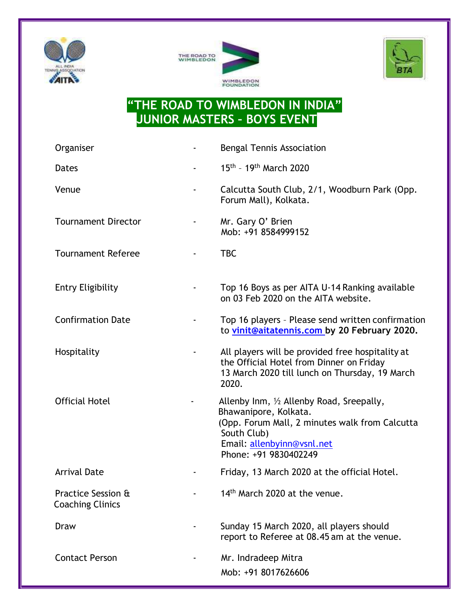





## **"THE ROAD TO WIMBLEDON IN INDIA" JUNIOR MASTERS – BOYS EVENT**

| Organiser                                     |                          | <b>Bengal Tennis Association</b>                                                                                                                                                           |
|-----------------------------------------------|--------------------------|--------------------------------------------------------------------------------------------------------------------------------------------------------------------------------------------|
| <b>Dates</b>                                  | $\overline{\phantom{a}}$ | 15th - 19th March 2020                                                                                                                                                                     |
| Venue                                         |                          | Calcutta South Club, 2/1, Woodburn Park (Opp.<br>Forum Mall), Kolkata.                                                                                                                     |
| <b>Tournament Director</b>                    |                          | Mr. Gary O' Brien<br>Mob: +91 8584999152                                                                                                                                                   |
| <b>Tournament Referee</b>                     |                          | <b>TBC</b>                                                                                                                                                                                 |
| <b>Entry Eligibility</b>                      |                          | Top 16 Boys as per AITA U-14 Ranking available<br>on 03 Feb 2020 on the AITA website.                                                                                                      |
| <b>Confirmation Date</b>                      |                          | Top 16 players - Please send written confirmation<br>to vinit@aitatennis.com by 20 February 2020.                                                                                          |
| Hospitality                                   |                          | All players will be provided free hospitality at<br>the Official Hotel from Dinner on Friday<br>13 March 2020 till lunch on Thursday, 19 March<br>2020.                                    |
| <b>Official Hotel</b>                         |                          | Allenby Inm, 1/2 Allenby Road, Sreepally,<br>Bhawanipore, Kolkata.<br>(Opp. Forum Mall, 2 minutes walk from Calcutta<br>South Club)<br>Email: allenbyinn@vsnl.net<br>Phone: +91 9830402249 |
| <b>Arrival Date</b>                           |                          | Friday, 13 March 2020 at the official Hotel.                                                                                                                                               |
| Practice Session &<br><b>Coaching Clinics</b> |                          | 14 <sup>th</sup> March 2020 at the venue.                                                                                                                                                  |
| Draw                                          |                          | Sunday 15 March 2020, all players should<br>report to Referee at 08.45 am at the venue.                                                                                                    |
| <b>Contact Person</b>                         |                          | Mr. Indradeep Mitra<br>Mob: +91 8017626606                                                                                                                                                 |